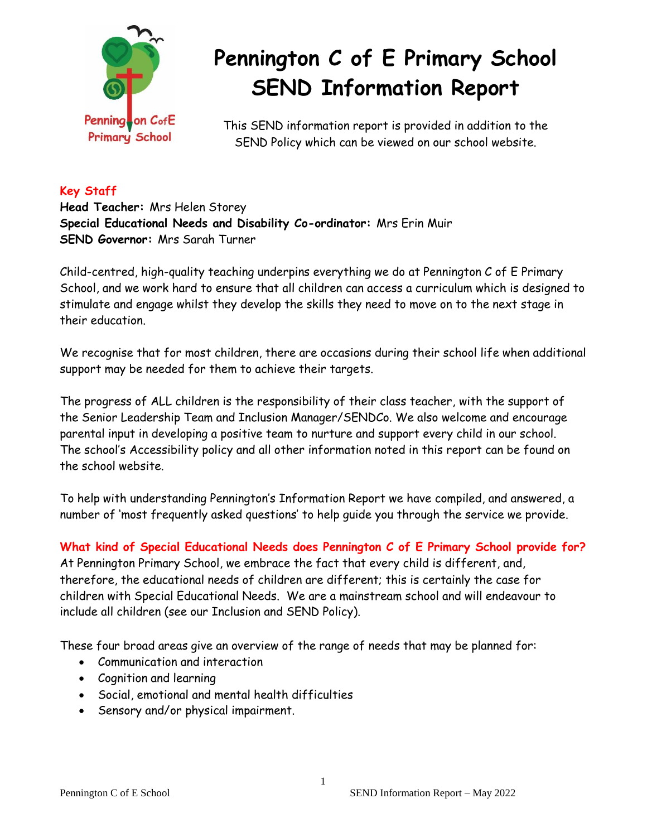

# **Pennington C of E Primary School SEND Information Report**

This SEND information report is provided in addition to the SEND Policy which can be viewed on our school website.

## **Key Staff**

**Head Teacher:** Mrs Helen Storey **Special Educational Needs and Disability Co-ordinator:** Mrs Erin Muir **SEND Governor:** Mrs Sarah Turner

Child-centred, high-quality teaching underpins everything we do at Pennington C of E Primary School, and we work hard to ensure that all children can access a curriculum which is designed to stimulate and engage whilst they develop the skills they need to move on to the next stage in their education.

We recognise that for most children, there are occasions during their school life when additional support may be needed for them to achieve their targets.

The progress of ALL children is the responsibility of their class teacher, with the support of the Senior Leadership Team and Inclusion Manager/SENDCo. We also welcome and encourage parental input in developing a positive team to nurture and support every child in our school. The school's Accessibility policy and all other information noted in this report can be found on the school website.

To help with understanding Pennington's Information Report we have compiled, and answered, a number of 'most frequently asked questions' to help guide you through the service we provide.

**What kind of Special Educational Needs does Pennington C of E Primary School provide for?** At Pennington Primary School, we embrace the fact that every child is different, and, therefore, the educational needs of children are different; this is certainly the case for children with Special Educational Needs. We are a mainstream school and will endeavour to include all children (see our Inclusion and SEND Policy).

These four broad areas give an overview of the range of needs that may be planned for:

- Communication and interaction
- Cognition and learning
- Social, emotional and mental health difficulties
- Sensory and/or physical impairment.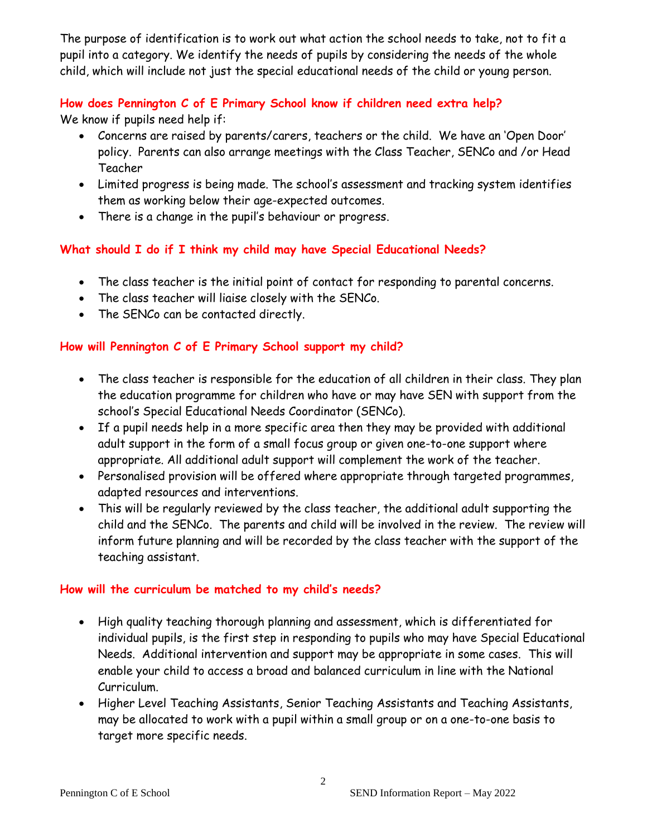The purpose of identification is to work out what action the school needs to take, not to fit a pupil into a category. We identify the needs of pupils by considering the needs of the whole child, which will include not just the special educational needs of the child or young person.

## **How does Pennington C of E Primary School know if children need extra help?**

We know if pupils need help if:

- Concerns are raised by parents/carers, teachers or the child. We have an 'Open Door' policy. Parents can also arrange meetings with the Class Teacher, SENCo and /or Head Teacher
- Limited progress is being made. The school's assessment and tracking system identifies them as working below their age-expected outcomes.
- There is a change in the pupil's behaviour or progress.

# **What should I do if I think my child may have Special Educational Needs?**

- The class teacher is the initial point of contact for responding to parental concerns.
- The class teacher will liaise closely with the SENCo.
- The SENCo can be contacted directly.

# **How will Pennington C of E Primary School support my child?**

- The class teacher is responsible for the education of all children in their class. They plan the education programme for children who have or may have SEN with support from the school's Special Educational Needs Coordinator (SENCo).
- If a pupil needs help in a more specific area then they may be provided with additional adult support in the form of a small focus group or given one-to-one support where appropriate. All additional adult support will complement the work of the teacher.
- Personalised provision will be offered where appropriate through targeted programmes, adapted resources and interventions.
- This will be regularly reviewed by the class teacher, the additional adult supporting the child and the SENCo. The parents and child will be involved in the review. The review will inform future planning and will be recorded by the class teacher with the support of the teaching assistant.

## **How will the curriculum be matched to my child's needs?**

- High quality teaching thorough planning and assessment, which is differentiated for individual pupils, is the first step in responding to pupils who may have Special Educational Needs. Additional intervention and support may be appropriate in some cases. This will enable your child to access a broad and balanced curriculum in line with the National Curriculum.
- Higher Level Teaching Assistants, Senior Teaching Assistants and Teaching Assistants, may be allocated to work with a pupil within a small group or on a one-to-one basis to target more specific needs.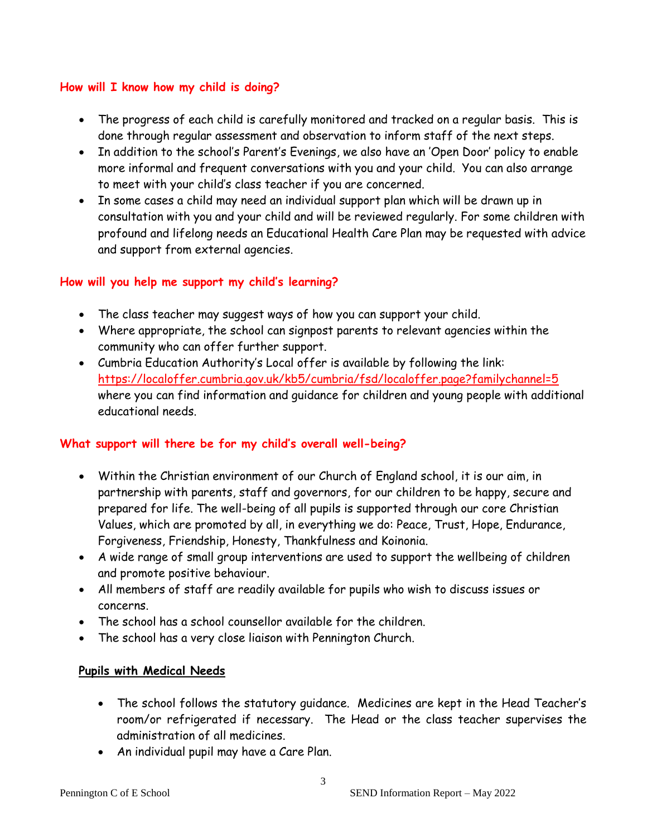#### **How will I know how my child is doing?**

- The progress of each child is carefully monitored and tracked on a regular basis. This is done through regular assessment and observation to inform staff of the next steps.
- In addition to the school's Parent's Evenings, we also have an 'Open Door' policy to enable more informal and frequent conversations with you and your child. You can also arrange to meet with your child's class teacher if you are concerned.
- In some cases a child may need an individual support plan which will be drawn up in consultation with you and your child and will be reviewed regularly. For some children with profound and lifelong needs an Educational Health Care Plan may be requested with advice and support from external agencies.

## **How will you help me support my child's learning?**

- The class teacher may suggest ways of how you can support your child.
- Where appropriate, the school can signpost parents to relevant agencies within the community who can offer further support.
- Cumbria Education Authority's Local offer is available by following the link: <https://localoffer.cumbria.gov.uk/kb5/cumbria/fsd/localoffer.page?familychannel=5> where you can find information and guidance for children and young people with additional educational needs.

#### **What support will there be for my child's overall well-being?**

- Within the Christian environment of our Church of England school, it is our aim, in partnership with parents, staff and governors, for our children to be happy, secure and prepared for life. The well-being of all pupils is supported through our core Christian Values, which are promoted by all, in everything we do: Peace, Trust, Hope, Endurance, Forgiveness, Friendship, Honesty, Thankfulness and Koinonia.
- A wide range of small group interventions are used to support the wellbeing of children and promote positive behaviour.
- All members of staff are readily available for pupils who wish to discuss issues or concerns.
- The school has a school counsellor available for the children.
- The school has a very close liaison with Pennington Church.

#### **Pupils with Medical Needs**

- The school follows the statutory guidance. Medicines are kept in the Head Teacher's room/or refrigerated if necessary. The Head or the class teacher supervises the administration of all medicines.
- An individual pupil may have a Care Plan.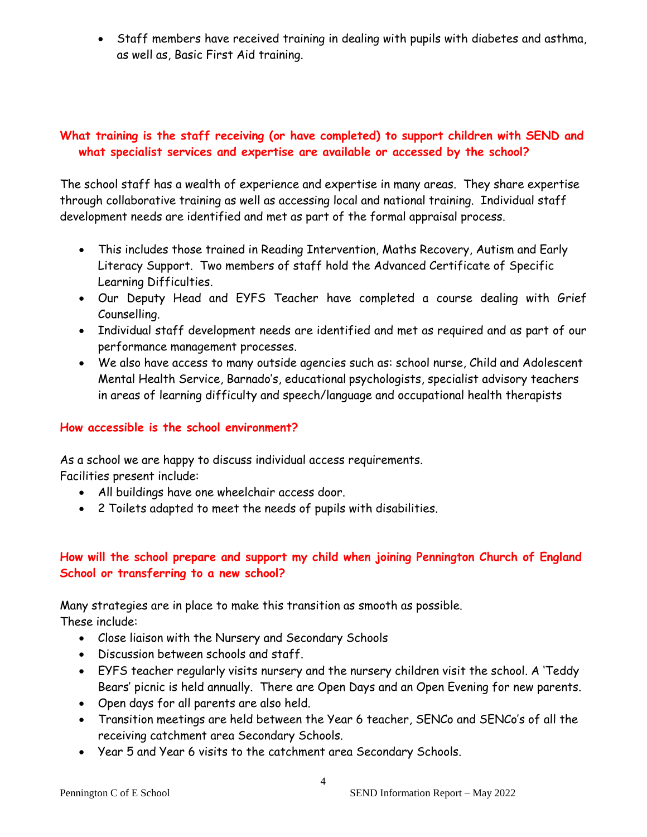• Staff members have received training in dealing with pupils with diabetes and asthma, as well as, Basic First Aid training.

#### **What training is the staff receiving (or have completed) to support children with SEND and what specialist services and expertise are available or accessed by the school?**

The school staff has a wealth of experience and expertise in many areas. They share expertise through collaborative training as well as accessing local and national training. Individual staff development needs are identified and met as part of the formal appraisal process.

- This includes those trained in Reading Intervention, Maths Recovery, Autism and Early Literacy Support. Two members of staff hold the Advanced Certificate of Specific Learning Difficulties.
- Our Deputy Head and EYFS Teacher have completed a course dealing with Grief Counselling.
- Individual staff development needs are identified and met as required and as part of our performance management processes.
- We also have access to many outside agencies such as: school nurse, Child and Adolescent Mental Health Service, Barnado's, educational psychologists, specialist advisory teachers in areas of learning difficulty and speech/language and occupational health therapists

## **How accessible is the school environment?**

As a school we are happy to discuss individual access requirements.

Facilities present include:

- All buildings have one wheelchair access door.
- 2 Toilets adapted to meet the needs of pupils with disabilities.

# **How will the school prepare and support my child when joining Pennington Church of England School or transferring to a new school?**

Many strategies are in place to make this transition as smooth as possible.

These include:

- Close liaison with the Nursery and Secondary Schools
- Discussion between schools and staff.
- EYFS teacher regularly visits nursery and the nursery children visit the school. A 'Teddy Bears' picnic is held annually. There are Open Days and an Open Evening for new parents.
- Open days for all parents are also held.
- Transition meetings are held between the Year 6 teacher, SENCo and SENCo's of all the receiving catchment area Secondary Schools.
- Year 5 and Year 6 visits to the catchment area Secondary Schools.